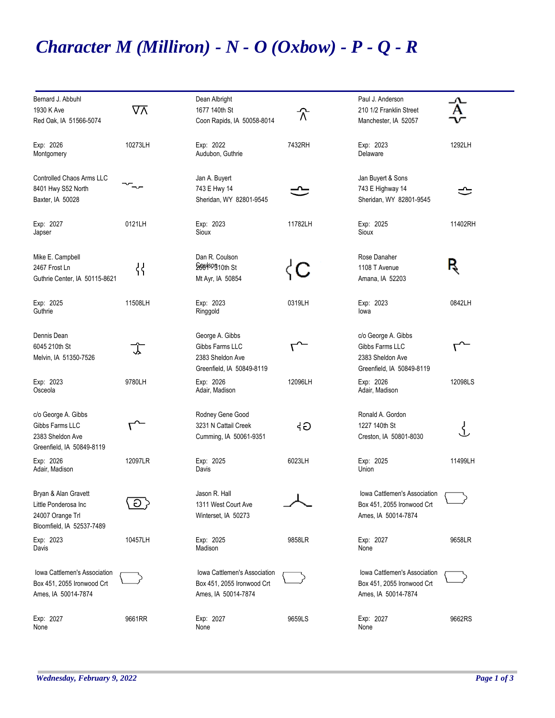## *Character M (Milliron) - N - O (Oxbow) - P - Q - R*

| Bernard J. Abbuhl<br>1930 K Ave<br>Red Oak, IA 51566-5074                                     | ⊽⊼       | Dean Albright<br>1677 140th St<br>Coon Rapids, IA 50058-8014                        | 个       | Paul J. Anderson<br>210 1/2 Franklin Street<br>Manchester, IA 52057                     |         |
|-----------------------------------------------------------------------------------------------|----------|-------------------------------------------------------------------------------------|---------|-----------------------------------------------------------------------------------------|---------|
| Exp: 2026<br>Montgomery                                                                       | 10273LH  | Exp: 2022<br>Audubon, Guthrie                                                       | 7432RH  | Exp: 2023<br>Delaware                                                                   | 1292LH  |
| <b>Controlled Chaos Arms LLC</b><br>8401 Hwy S52 North<br>Baxter, IA 50028                    |          | Jan A. Buyert<br>743 E Hwy 14<br>Sheridan, WY 82801-9545                            |         | Jan Buyert & Sons<br>743 E Highway 14<br>Sheridan, WY 82801-9545                        | ↺       |
| Exp: 2027<br>Japser                                                                           | 0121LH   | Exp: 2023<br>Sioux                                                                  | 11782LH | Exp: 2025<br>Sioux                                                                      | 11402RH |
| Mike E. Campbell<br>2467 Frost Ln<br>Guthrie Center, IA 50115-8621                            | {}<br>וו | Dan R. Coulson<br><b>Doct SOB10th St</b><br>Mt Ayr, IA 50854                        | ζC      | Rose Danaher<br>1108 T Avenue<br>Amana, IA 52203                                        | R       |
| Exp: 2025<br>Guthrie                                                                          | 11508LH  | Exp: 2023<br>Ringgold                                                               | 0319LH  | Exp: 2023<br>lowa                                                                       | 0842LH  |
| Dennis Dean<br>6045 210th St<br>Melvin, IA 51350-7526                                         | 飞        | George A. Gibbs<br>Gibbs Farms LLC<br>2383 Sheldon Ave<br>Greenfield, IA 50849-8119 |         | c/o George A. Gibbs<br>Gibbs Farms LLC<br>2383 Sheldon Ave<br>Greenfield, IA 50849-8119 |         |
| Exp: 2023<br>Osceola                                                                          | 9780LH   | Exp: 2026<br>Adair, Madison                                                         | 12096LH | Exp: 2026<br>Adair, Madison                                                             | 12098LS |
| c/o George A. Gibbs<br>Gibbs Farms LLC<br>2383 Sheldon Ave<br>Greenfield, IA 50849-8119       | ᡕᢇ       | Rodney Gene Good<br>3231 N Cattail Creek<br>Cumming, IA 50061-9351                  | Gþ      | Ronald A. Gordon<br>1227 140th St<br>Creston, IA 50801-8030                             | ₹       |
| Exp: 2026<br>Adair, Madison                                                                   | 12097LR  | Exp: 2025<br>Davis                                                                  | 6023LH  | Exp: 2025<br>Union                                                                      | 11499LH |
| Brvan & Alan Gravett<br>Little Ponderosa Inc<br>24007 Orange Trl<br>Bloomfield, IA 52537-7489 | $\Theta$ | Jason R. Hall<br>1311 West Court Ave<br>Winterset, IA 50273                         |         | Iowa Cattlemen's Association<br>Box 451, 2055 Ironwood Crt<br>Ames, IA 50014-7874       |         |
| Exp: 2023<br>Davis                                                                            | 10457LH  | Exp: 2025<br>Madison                                                                | 9858LR  | Exp: 2027<br>None                                                                       | 9658LR  |
| Iowa Cattlemen's Association<br>Box 451, 2055 Ironwood Crt<br>Ames, IA 50014-7874             |          | Iowa Cattlemen's Association<br>Box 451, 2055 Ironwood Crt<br>Ames, IA 50014-7874   |         | Iowa Cattlemen's Association<br>Box 451, 2055 Ironwood Crt<br>Ames, IA 50014-7874       |         |
| Exp: 2027<br>None                                                                             | 9661RR   | Exp: 2027<br>None                                                                   | 9659LS  | Exp: 2027<br>None                                                                       | 9662RS  |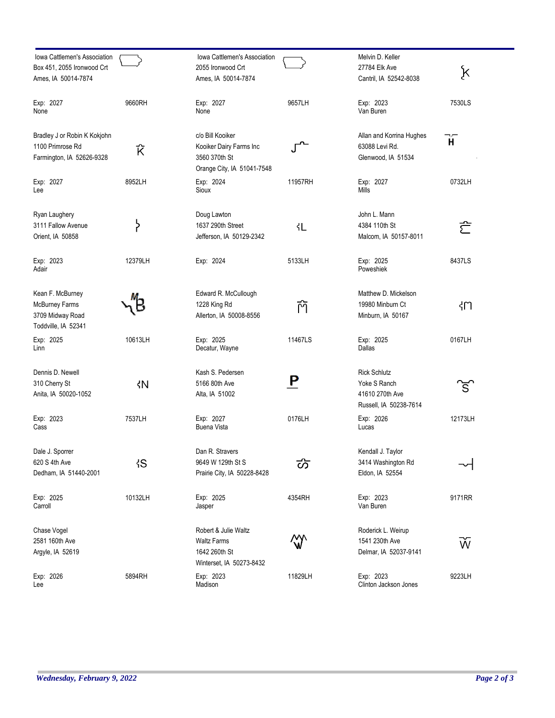| Iowa Cattlemen's Association<br>Box 451, 2055 Ironwood Crt<br>Ames, IA 50014-7874 |         | Iowa Cattlemen's Association<br>2055 Ironwood Crt<br>Ames, IA 50014-7874                   |          | Melvin D. Keller<br>27784 Elk Ave<br>Cantril, IA 52542-8038                      | k       |
|-----------------------------------------------------------------------------------|---------|--------------------------------------------------------------------------------------------|----------|----------------------------------------------------------------------------------|---------|
| Exp: 2027<br>None                                                                 | 9660RH  | Exp: 2027<br>None                                                                          | 9657LH   | Exp: 2023<br>Van Buren                                                           | 7530LS  |
| Bradley J or Robin K Kokjohn<br>1100 Primrose Rd<br>Farmington, IA 52626-9328     | Ŕ       | c/o Bill Kooiker<br>Kooiker Dairy Farms Inc<br>3560 370th St<br>Orange City, IA 51041-7548 |          | Allan and Korrina Hughes<br>63088 Levi Rd.<br>Glenwood, IA 51534                 | Ĥ.      |
| Exp: 2027<br>Lee                                                                  | 8952LH  | Exp: 2024<br>Sioux                                                                         | 11957RH  | Exp: 2027<br>Mills                                                               | 0732LH  |
| Ryan Laughery<br>3111 Fallow Avenue<br>Orient, IA 50858                           | ኑ<br>ነ  | Doug Lawton<br>1637 290th Street<br>Jefferson, IA 50129-2342                               | ላL       | John L. Mann<br>4384 110th St<br>Malcom, IA 50157-8011                           | ご       |
| Exp: 2023<br>Adair                                                                | 12379LH | Exp: 2024                                                                                  | 5133LH   | Exp: 2025<br>Poweshiek                                                           | 8437LS  |
| Kean F. McBurney<br>McBurney Farms<br>3709 Midway Road<br>Toddville, IA 52341     |         | Edward R. McCullough<br>1228 King Rd<br>Allerton, IA 50008-8556                            | 门        | Matthew D. Mickelson<br>19980 Minburn Ct<br>Minburn, IA 50167                    | ዛጠ      |
| Exp: 2025<br>Linn                                                                 | 10613LH | Exp: 2025<br>Decatur, Wayne                                                                | 11467LS  | Exp: 2025<br>Dallas                                                              | 0167LH  |
| Dennis D. Newell<br>310 Cherry St<br>Anita, IA 50020-1052                         | ζN      | Kash S. Pedersen<br>5166 80th Ave<br>Alta, IA 51002                                        | <u>P</u> | <b>Rick Schlutz</b><br>Yoke S Ranch<br>41610 270th Ave<br>Russell, IA 50238-7614 | ิธี     |
| Exp: 2023<br>Cass                                                                 | 7537LH  | Exp: 2027<br><b>Buena Vista</b>                                                            | 0176LH   | Exp: 2026<br>Lucas                                                               | 12173LH |
| Dale J. Sporrer<br>620 S 4th Ave<br>Dedham, IA 51440-2001                         | łS      | Dan R. Stravers<br>9649 W 129th St S<br>Prairie City, IA 50228-8428                        | ळ        | Kendall J. Taylor<br>3414 Washington Rd<br>Eldon, IA 52554                       |         |
| Exp: 2025<br>Carroll                                                              | 10132LH | Exp: 2025<br>Jasper                                                                        | 4354RH   | Exp: 2023<br>Van Buren                                                           | 9171RR  |
| Chase Vogel<br>2581 160th Ave<br>Argyle, IA 52619                                 |         | Robert & Julie Waltz<br><b>Waltz Farms</b><br>1642 260th St<br>Winterset, IA 50273-8432    | ₩        | Roderick L. Weirup<br>1541 230th Ave<br>Delmar, IA 52037-9141                    | Ŵ       |
| Exp: 2026<br>Lee                                                                  | 5894RH  | Exp: 2023<br>Madison                                                                       | 11829LH  | Exp: 2023<br>Clinton Jackson Jones                                               | 9223LH  |